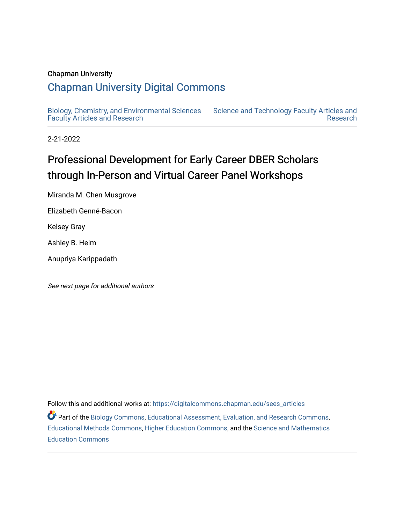# Chapman University

# [Chapman University Digital Commons](https://digitalcommons.chapman.edu/)

[Biology, Chemistry, and Environmental Sciences](https://digitalcommons.chapman.edu/sees_articles) [Faculty Articles and Research](https://digitalcommons.chapman.edu/sees_articles) [Science and Technology Faculty Articles and](https://digitalcommons.chapman.edu/science_articles)  [Research](https://digitalcommons.chapman.edu/science_articles) 

2-21-2022

# Professional Development for Early Career DBER Scholars through In-Person and Virtual Career Panel Workshops

Miranda M. Chen Musgrove

Elizabeth Genné-Bacon

Kelsey Gray

Ashley B. Heim

Anupriya Karippadath

See next page for additional authors

Follow this and additional works at: [https://digitalcommons.chapman.edu/sees\\_articles](https://digitalcommons.chapman.edu/sees_articles?utm_source=digitalcommons.chapman.edu%2Fsees_articles%2F503&utm_medium=PDF&utm_campaign=PDFCoverPages) 

Part of the [Biology Commons,](http://network.bepress.com/hgg/discipline/41?utm_source=digitalcommons.chapman.edu%2Fsees_articles%2F503&utm_medium=PDF&utm_campaign=PDFCoverPages) [Educational Assessment, Evaluation, and Research Commons](http://network.bepress.com/hgg/discipline/796?utm_source=digitalcommons.chapman.edu%2Fsees_articles%2F503&utm_medium=PDF&utm_campaign=PDFCoverPages), [Educational Methods Commons,](http://network.bepress.com/hgg/discipline/1227?utm_source=digitalcommons.chapman.edu%2Fsees_articles%2F503&utm_medium=PDF&utm_campaign=PDFCoverPages) [Higher Education Commons,](http://network.bepress.com/hgg/discipline/1245?utm_source=digitalcommons.chapman.edu%2Fsees_articles%2F503&utm_medium=PDF&utm_campaign=PDFCoverPages) and the [Science and Mathematics](http://network.bepress.com/hgg/discipline/800?utm_source=digitalcommons.chapman.edu%2Fsees_articles%2F503&utm_medium=PDF&utm_campaign=PDFCoverPages)  [Education Commons](http://network.bepress.com/hgg/discipline/800?utm_source=digitalcommons.chapman.edu%2Fsees_articles%2F503&utm_medium=PDF&utm_campaign=PDFCoverPages)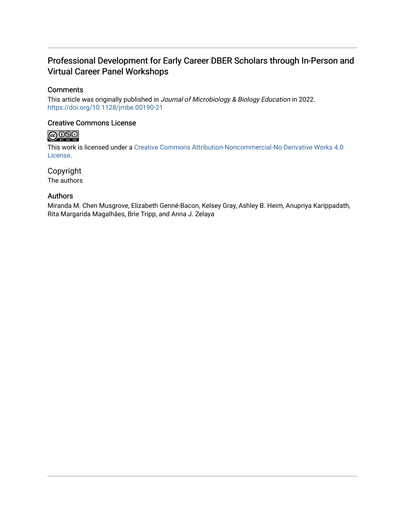# Professional Development for Early Career DBER Scholars through In-Person and Virtual Career Panel Workshops

# **Comments**

This article was originally published in Journal of Microbiology & Biology Education in 2022. <https://doi.org/10.1128/jmbe.00190-21>

# Creative Commons License



This work is licensed under a [Creative Commons Attribution-Noncommercial-No Derivative Works 4.0](https://creativecommons.org/licenses/by-nc-nd/4.0/) [License](https://creativecommons.org/licenses/by-nc-nd/4.0/).

Copyright The authors

# Authors

Miranda M. Chen Musgrove, Elizabeth Genné-Bacon, Kelsey Gray, Ashley B. Heim, Anupriya Karippadath, Rita Margarida Magalhães, Brie Tripp, and Anna J. Zelaya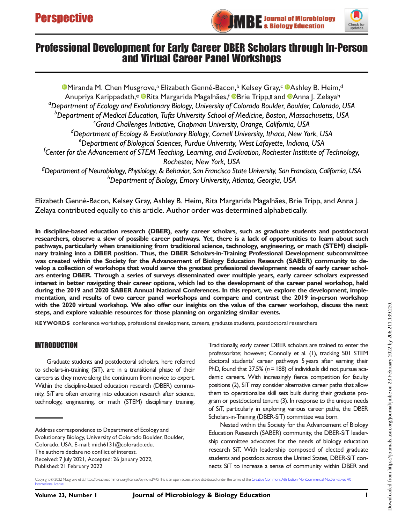



# Professional Development for Early Career DBER Scholars through In-Person and Virtual Career Panel Workshops

[Miranda M. Chen Musgrove](https://orcid.org/0000-0001-8217-4896),ª Elizabeth Genné-Bacon,♭ Kelsey Gray,¢ ®[Ashley B. Heim,](https://orcid.org/0000-0001-8526-7342)ª Anupriya Karippadath,<sup>e @</sup>[Rita Margarida Magalhães](https://orcid.org/0000-0002-8361-9444),<sup>f @</sup>[Brie Tripp,](https://orcid.org/0000-0003-0491-3491)<sup>g</sup> and ®[Anna J. Zelaya](https://orcid.org/0000-0001-6366-5067)<sup>h</sup> a Department of Ecology and Evolutionary Biology, University of Colorado Boulder, Boulder, Colorado, USA b<br>Department of Medical Education, Tufts University School of Medicine, Boston, Massachusetts, USA<br>Crand Challenges Initiative, Chapman University, Orange, California, USA Grand Challenges Initiative, Chapman University, Orange, California, USA <sup>d</sup>Department of Ecology & Evolutionary Biology, Cornell University, Ithaca, New York, USA e<br>Department of Biological Sciences, Purdue University, West Lafayette, Indiana, USA <sup>f</sup>Center for the Advancement of STEM Teaching, Learning, and Evaluation, Rochester Institute of Technology, Rochester, New York, USA <sup>g</sup>Department of Neurobiology, Physiology, & Behavior, San Francisco State University, San Francisco, California, USA h<br>Department of Biology, Emory University, Atlanta, Georgia, USA

Elizabeth Genné-Bacon, Kelsey Gray, Ashley B. Heim, Rita Margarida Magalhães, Brie Tripp, and Anna J. Zelaya contributed equally to this article. Author order was determined alphabetically.

In discipline-based education research (DBER), early career scholars, such as graduate students and postdoctoral researchers, observe a slew of possible career pathways. Yet, there is a lack of opportunities to learn about such pathways, particularly when transitioning from traditional science, technology, engineering, or math (STEM) disciplinary training into a DBER position. Thus, the DBER Scholars-in-Training Professional Development subcommittee was created within the Society for the Advancement of Biology Education Research (SABER) community to develop a collection of workshops that would serve the greatest professional development needs of early career scholars entering DBER. Through a series of surveys disseminated over multiple years, early career scholars expressed interest in better navigating their career options, which led to the development of the career panel workshop, held during the 2019 and 2020 SABER Annual National Conferences. In this report, we explore the development, implementation, and results of two career panel workshops and compare and contrast the 2019 in-person workshop with the 2020 virtual workshop. We also offer our insights on the value of the career workshop, discuss the next steps, and explore valuable resources for those planning on organizing similar events.

KEYWORDS conference workshop, professional development, careers, graduate students, postdoctoral researchers

### INTRODUCTION

Graduate students and postdoctoral scholars, here referred to scholars-in-training (SiT), are in a transitional phase of their careers as they move along the continuum from novice to expert. Within the discipline-based education research (DBER) community, SiT are often entering into education research after science, technology, engineering, or math (STEM) disciplinary training.

Address correspondence to Department of Ecology and Evolutionary Biology, University of Colorado Boulder, Boulder, Colorado, USA. E-mail: [mich6131@colorado.edu](mailto:mich6131@colorado.edu). The authors declare no conflict of interest. Received: 7 July 2021, Accepted: 26 January 2022,

professoriate; however, Connolly et al. [\(1\)](#page-8-0), tracking 501 STEM doctoral students' career pathways 5 years after earning their PhD, found that  $37.5\%$  ( $n = 188$ ) of individuals did not pursue academic careers. With increasingly fierce competition for faculty positions [\(2](#page-8-1)), SiT may consider alternative career paths that allow them to operationalize skill sets built during their graduate program or postdoctoral tenure ([3](#page-8-2)). In response to the unique needs of SiT, particularly in exploring various career paths, the DBER Scholars-in-Training (DBER-SiT) committee was born.

Traditionally, early career DBER scholars are trained to enter the

Nested within the Society for the Advancement of Biology Education Research (SABER) community, the DBER-SiT leadership committee advocates for the needs of biology education research SiT. With leadership composed of elected graduate students and postdocs across the United States, DBER-SiT connects SiT to increase a sense of community within DBER and

Copyright © 2022 Musgrove et al. https://creativecommons.org/licenses/by-nc-nd/4.0/This is an open-access article distributed under the terms of the [Creative Commons Attribution-NonCommercial-NoDerivatives 4.0](https://creativecommons.org/licenses/by-nc-nd/4.0/) [International license](https://creativecommons.org/licenses/by-nc-nd/4.0/).

Published: 21 February 2022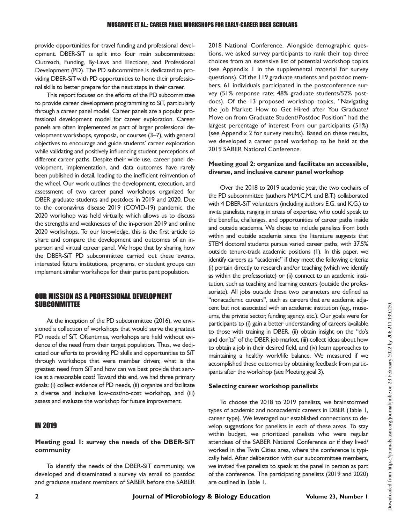provide opportunities for travel funding and professional development. DBER-SiT is split into four main subcommittees: Outreach, Funding, By-Laws and Elections, and Professional Development (PD). The PD subcommittee is dedicated to providing DBER-SiTwith PD opportunities to hone their professional skills to better prepare for the next steps in their career.

This report focuses on the efforts of the PD subcommittee to provide career development programming to SiT, particularly through a career panel model. Career panels are a popular professional development model for career exploration. Career panels are often implemented as part of larger professional development workshops, symposia, or courses ([3](#page-8-2)–[7\)](#page-8-3), with general objectives to encourage and guide students' career exploration while validating and positively influencing student perceptions of different career paths. Despite their wide use, career panel development, implementation, and data outcomes have rarely been published in detail, leading to the inefficient reinvention of the wheel. Our work outlines the development, execution, and assessment of two career panel workshops organized for DBER graduate students and postdocs in 2019 and 2020. Due to the coronavirus disease 2019 (COVID-19) pandemic, the 2020 workshop was held virtually, which allows us to discuss the strengths and weaknesses of the in-person 2019 and online 2020 workshops. To our knowledge, this is the first article to share and compare the development and outcomes of an inperson and virtual career panel. We hope that by sharing how the DBER-SiT PD subcommittee carried out these events, interested future institutions, programs, or student groups can implement similar workshops for their participant population.

### OUR MISSION AS A PROFESSIONAL DEVELOPMENT **SUBCOMMITTEE**

At the inception of the PD subcommittee (2016), we envisioned a collection of workshops that would serve the greatest PD needs of SiT. Oftentimes, workshops are held without evidence of the need from their target population. Thus, we dedicated our efforts to providing PD skills and opportunities to SiT through workshops that were member driven; what is the greatest need from SiT and how can we best provide that service at a reasonable cost? Toward this end, we had three primary goals: (i) collect evidence of PD needs, (ii) organize and facilitate a diverse and inclusive low-cost/no-cost workshop, and (iii) assess and evaluate the workshop for future improvement.

### IN 2019

#### Meeting goal 1: survey the needs of the DBER-SiT community

To identify the needs of the DBER-SiT community, we developed and disseminated a survey via email to postdoc and graduate student members of SABER before the SABER

2018 National Conference. Alongside demographic questions, we asked survey participants to rank their top three choices from an extensive list of potential workshop topics (see Appendix 1 in the supplemental material for survey questions). Of the 119 graduate students and postdoc members, 61 individuals participated in the postconference survey (51% response rate; 48% graduate students/52% postdocs). Of the 13 proposed workshop topics, "Navigating the Job Market: How to Get Hired after You Graduate/ Move on from Graduate Student/Postdoc Position" had the largest percentage of interest from our participants (51%) (see Appendix 2 for survey results). Based on these results, we developed a career panel workshop to be held at the 2019 SABER National Conference.

#### Meeting goal 2: organize and facilitate an accessible, diverse, and inclusive career panel workshop

Over the 2018 to 2019 academic year, the two cochairs of the PD subcommittee (authors M.M.C.M. and B.T.) collaborated with 4 DBER-SiT volunteers (including authors E.G. and K.G.) to invite panelists, ranging in areas of expertise, who could speak to the benefits, challenges, and opportunities of career paths inside and outside academia. We chose to include panelists from both within and outside academia since the literature suggests that STEM doctoral students pursue varied career paths, with 37.5% outside tenure-track academic positions [\(1](#page-8-0)). In this paper, we identify careers as "academic" if they meet the following criteria: (i) pertain directly to research and/or teaching (which we identify as within the professoriate) or (ii) connect to an academic institution, such as teaching and learning centers (outside the professoriate). All jobs outside these two parameters are defined as "nonacademic careers", such as careers that are academic adjacent but not associated with an academic institution (e.g., museums, the private sector, funding agency, etc.). Our goals were for participants to (i) gain a better understanding of careers available to those with training in DBER, (ii) obtain insight on the "do's and don'ts" of the DBER job market, (iii) collect ideas about how to obtain a job in their desired field, and (iv) learn approaches to maintaining a healthy work/life balance. We measured if we accomplished these outcomes by obtaining feedback from participants after the workshop (see Meeting goal 3).

#### Selecting career workshop panelists

To choose the 2018 to 2019 panelists, we brainstormed types of academic and nonacademic careers in DBER [\(Table 1,](#page-4-0) career type). We leveraged our established connections to develop suggestions for panelists in each of these areas. To stay within budget, we prioritized panelists who were regular attendees of the SABER National Conference or if they lived/ worked in the Twin Cities area, where the conference is typically held. After deliberation with our subcommittee members, we invited five panelists to speak at the panel in person as part of the conference. The participating panelists (2019 and 2020) are outlined in [Table 1](#page-4-0).

2 Journal of Microbiology & Biology Education Volume 23, Number 1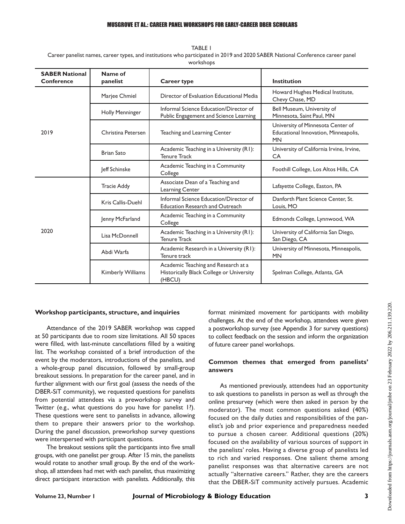#### MUSGROVE ET AL.: CAREER PANEL WORKSHOPS FOR EARLY-CAREER DBER SCHOLARS

<span id="page-4-0"></span>TABLE 1 Career panelist names, career types, and institutions who participated in 2019 and 2020 SABER National Conference career panel workshops

| <b>SABER National</b><br><b>Conference</b> | Name of<br>panelist      | <b>Career type</b>                                                                        | <b>Institution</b>                                                                     |
|--------------------------------------------|--------------------------|-------------------------------------------------------------------------------------------|----------------------------------------------------------------------------------------|
| 2019                                       | Marjee Chmiel            | Director of Evaluation Educational Media                                                  | Howard Hughes Medical Institute,<br>Chevy Chase, MD                                    |
|                                            | <b>Holly Menninger</b>   | Informal Science Education/Director of<br>Public Engagement and Science Learning          | Bell Museum, University of<br>Minnesota, Saint Paul, MN                                |
|                                            | Christina Petersen       | Teaching and Learning Center                                                              | University of Minnesota Center of<br>Educational Innovation, Minneapolis,<br><b>MN</b> |
|                                            | <b>Brian Sato</b>        | Academic Teaching in a University (R1):<br><b>Tenure Track</b>                            | University of California Irvine, Irvine,<br>CA                                         |
|                                            | Jeff Schinske            | Academic Teaching in a Community<br>College                                               | Foothill College, Los Altos Hills, CA                                                  |
| 2020                                       | <b>Tracie Addy</b>       | Associate Dean of a Teaching and<br>Learning Center                                       | Lafayette College, Easton, PA                                                          |
|                                            | Kris Callis-Duehl        | Informal Science Education/Director of<br><b>Education Research and Outreach</b>          | Danforth Plant Science Center, St.<br>Louis, MO                                        |
|                                            | Jenny McFarland          | Academic Teaching in a Community<br>College                                               | Edmonds College, Lynnwood, WA                                                          |
|                                            | Lisa McDonnell           | Academic Teaching in a University (R1):<br><b>Tenure Track</b>                            | University of California San Diego,<br>San Diego, CA                                   |
|                                            | Abdi Warfa               | Academic Research in a University (R1):<br>Tenure track                                   | University of Minnesota, Minneapolis,<br><b>MN</b>                                     |
|                                            | <b>Kimberly Williams</b> | Academic Teaching and Research at a<br>Historically Black College or University<br>(HBCU) | Spelman College, Atlanta, GA                                                           |

#### Workshop participants, structure, and inquiries

Attendance of the 2019 SABER workshop was capped at 50 participants due to room size limitations. All 50 spaces were filled, with last-minute cancellations filled by a waiting list. The workshop consisted of a brief introduction of the event by the moderators, introductions of the panelists, and a whole-group panel discussion, followed by small-group breakout sessions. In preparation for the career panel, and in further alignment with our first goal (assess the needs of the DBER-SiT community), we requested questions for panelists from potential attendees via a preworkshop survey and Twitter (e.g., what questions do you have for panelist 1?). These questions were sent to panelists in advance, allowing them to prepare their answers prior to the workshop. During the panel discussion, preworkshop survey questions were interspersed with participant questions.

The breakout sessions split the participants into five small groups, with one panelist per group. After 15 min, the panelists would rotate to another small group. By the end of the workshop, all attendees had met with each panelist, thus maximizing direct participant interaction with panelists. Additionally, this format minimized movement for participants with mobility challenges. At the end of the workshop, attendees were given a postworkshop survey (see Appendix 3 for survey questions) to collect feedback on the session and inform the organization of future career panel workshops.

#### Common themes that emerged from panelists' answers

As mentioned previously, attendees had an opportunity to ask questions to panelists in person as well as through the online presurvey (which were then asked in person by the moderator). The most common questions asked (40%) focused on the daily duties and responsibilities of the panelist's job and prior experience and preparedness needed to pursue a chosen career. Additional questions (20%) focused on the availability of various sources of support in the panelists' roles. Having a diverse group of panelists led to rich and varied responses. One salient theme among panelist responses was that alternative careers are not actually "alternative careers." Rather, they are the careers that the DBER-SiT community actively pursues. Academic Oownloaded from https://journals.asm.org/journal/jmbe on 23 February 2022 by 206.211.139.220. Downloaded from https://journals.asm.org/journal/jmbe on 23 February 2022 by 206.211.139.220.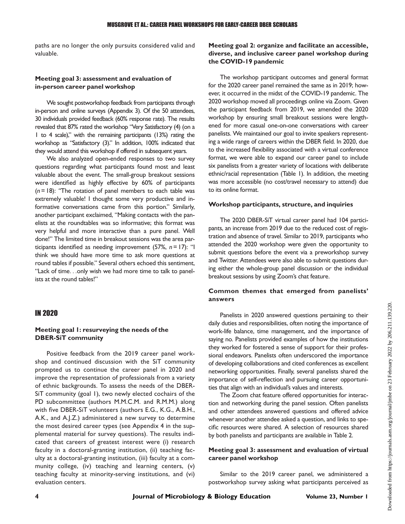paths are no longer the only pursuits considered valid and valuable.

#### Meeting goal 3: assessment and evaluation of in-person career panel workshop

We sought postworkshop feedback from participants through in-person and online surveys (Appendix 3). Of the 50 attendees, 30 individuals provided feedback (60% response rate). The results revealed that 87% rated the workshop "Very Satisfactory (4) (on a 1 to 4 scale)," with the remaining participants (13%) rating the workshop as "Satisfactory (3)." In addition, 100% indicated that they would attend this workshop if offered in subsequent years.

We also analyzed open-ended responses to two survey questions regarding what participants found most and least valuable about the event. The small-group breakout sessions were identified as highly effective by 60% of participants  $(n = 18)$ : "The rotation of panel members to each table was extremely valuable! I thought some very productive and informative conversations came from this portion." Similarly, another participant exclaimed, "Making contacts with the panelists at the roundtables was so informative; this format was very helpful and more interactive than a pure panel. Well done!" The limited time in breakout sessions was the area participants identified as needing improvement (57%,  $n = 17$ ): "I think we should have more time to ask more questions at round tables if possible." Several others echoed this sentiment, "Lack of time...only wish we had more time to talk to panelists at the round tables!"

#### IN 2020

#### Meeting goal 1: resurveying the needs of the DBER-SiT community

Positive feedback from the 2019 career panel workshop and continued discussion with the SiT community prompted us to continue the career panel in 2020 and improve the representation of professionals from a variety of ethnic backgrounds. To assess the needs of the DBER-SiT community (goal 1), two newly elected cochairs of the PD subcommittee (authors M.M.C.M. and R.M.M.) along with five DBER-SiT volunteers (authors E.G., K.G., A.B.H., A.K., and A.J.Z.) administered a new survey to determine the most desired career types (see Appendix 4 in the supplemental material for survey questions). The results indicated that careers of greatest interest were (i) research faculty in a doctoral-granting institution, (ii) teaching faculty at a doctoral-granting institution, (iii) faculty at a community college, (iv) teaching and learning centers, (v) teaching faculty at minority-serving institutions, and (vi) evaluation centers.

#### Meeting goal 2: organize and facilitate an accessible, diverse, and inclusive career panel workshop during the COVID-19 pandemic

The workshop participant outcomes and general format for the 2020 career panel remained the same as in 2019; however, it occurred in the midst of the COVID-19 pandemic. The 2020 workshop moved all proceedings online via Zoom. Given the participant feedback from 2019, we amended the 2020 workshop by ensuring small breakout sessions were lengthened for more casual one-on-one conversations with career panelists. We maintained our goal to invite speakers representing a wide range of careers within the DBER field. In 2020, due to the increased flexibility associated with a virtual conference format, we were able to expand our career panel to include six panelists from a greater variety of locations with deliberate ethnic/racial representation [\(Table 1](#page-4-0)). In addition, the meeting was more accessible (no cost/travel necessary to attend) due to its online format.

#### Workshop participants, structure, and inquiries

The 2020 DBER-SiT virtual career panel had 104 participants, an increase from 2019 due to the reduced cost of registration and absence of travel. Similar to 2019, participants who attended the 2020 workshop were given the opportunity to submit questions before the event via a preworkshop survey and Twitter. Attendees were also able to submit questions during either the whole-group panel discussion or the individual breakout sessions by using Zoom's chat feature.

#### Common themes that emerged from panelists' answers

Panelists in 2020 answered questions pertaining to their daily duties and responsibilities, often noting the importance of work-life balance, time management, and the importance of saying no. Panelists provided examples of how the institutions they worked for fostered a sense of support for their professional endeavors. Panelists often underscored the importance of developing collaborations and cited conferences as excellent networking opportunities. Finally, several panelists shared the importance of self-reflection and pursuing career opportunities that align with an individual's values and interests.

The Zoom chat feature offered opportunities for interaction and networking during the panel session. Often panelists and other attendees answered questions and offered advice whenever another attendee asked a question, and links to specific resources were shared. A selection of resources shared by both panelists and participants are available in [Table 2](#page-6-0).

#### Meeting goal 3: assessment and evaluation of virtual career panel workshop

Similar to the 2019 career panel, we administered a postworkshop survey asking what participants perceived as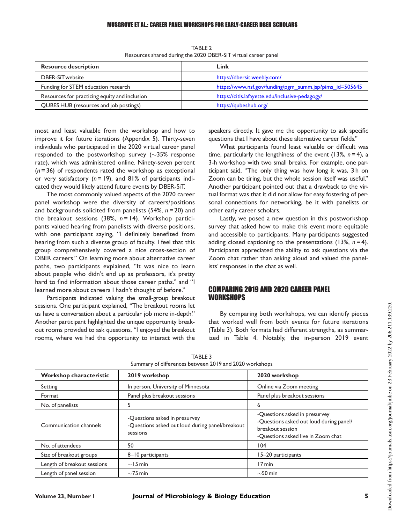#### MUSGROVE ET AL.: CAREER PANEL WORKSHOPS FOR EARLY-CAREER DBER SCHOLARS

<span id="page-6-0"></span>

| <b>Resource description</b>                   | Link                                                    |  |  |
|-----------------------------------------------|---------------------------------------------------------|--|--|
| DBER-SiTwebsite                               | https://dbersit.weebly.com/                             |  |  |
| Funding for STEM education research           | https://www.nsf.gov/funding/pgm_summ.jsp?pims_id=505645 |  |  |
| Resources for practicing equity and inclusion | https://citls.lafayette.edu/inclusive-pedagogy/         |  |  |
| QUBES HUB (resources and job postings)        | https://qubeshub.org/                                   |  |  |

TARI F<sub>2</sub> Resources shared during the 2020 DBER-SiT virtual career panel

most and least valuable from the workshop and how to improve it for future iterations (Appendix 5). Thirty-seven individuals who participated in the 2020 virtual career panel responded to the postworkshop survey ( $\sim$ 35% response rate), which was administered online. Ninety-seven percent  $(n = 36)$  of respondents rated the workshop as exceptional or very satisfactory ( $n = 19$ ), and 81% of participants indicated they would likely attend future events by DBER-SiT.

The most commonly valued aspects of the 2020 career panel workshop were the diversity of careers/positions and backgrounds solicited from panelists  $(54\%, n=20)$  and the breakout sessions (38%,  $n = 14$ ). Workshop participants valued hearing from panelists with diverse positions, with one participant saying, "I definitely benefited from hearing from such a diverse group of faculty. I feel that this group comprehensively covered a nice cross-section of DBER careers." On learning more about alternative career paths, two participants explained, "It was nice to learn about people who didn't end up as professors, it's pretty hard to find information about those career paths." and "I learned more about careers I hadn't thought of before."

Participants indicated valuing the small-group breakout sessions. One participant explained, "The breakout rooms let us have a conversation about a particular job more in-depth." Another participant highlighted the unique opportunity breakout rooms provided to ask questions, "I enjoyed the breakout rooms, where we had the opportunity to interact with the speakers directly. It gave me the opportunity to ask specific questions that I have about these alternative career fields."

What participants found least valuable or difficult was time, particularly the lengthiness of the event (13%,  $n = 4$ ), a 3-h workshop with two small breaks. For example, one participant said, "The only thing was how long it was, 3 h on Zoom can be tiring, but the whole session itself was useful." Another participant pointed out that a drawback to the virtual format was that it did not allow for easy fostering of personal connections for networking, be it with panelists or other early career scholars.

Lastly, we posed a new question in this postworkshop survey that asked how to make this event more equitable and accessible to participants. Many participants suggested adding closed captioning to the presentations (13%,  $n = 4$ ). Participants appreciated the ability to ask questions via the Zoom chat rather than asking aloud and valued the panelists'responses in the chat as well.

#### COMPARING 2019 AND 2020 CAREER PANEL **WORKSHOPS**

By comparing both workshops, we can identify pieces that worked well from both events for future iterations ([Table 3\)](#page-6-1). Both formats had different strengths, as summarized in [Table 4.](#page-7-0) Notably, the in-person 2019 event

<span id="page-6-1"></span>

| Workshop characteristic     | 2019 workshop                                                                                | 2020 workshop                                                                                                                      |
|-----------------------------|----------------------------------------------------------------------------------------------|------------------------------------------------------------------------------------------------------------------------------------|
| Setting                     | In person, University of Minnesota                                                           | Online via Zoom meeting                                                                                                            |
| Format                      | Panel plus breakout sessions                                                                 | Panel plus breakout sessions                                                                                                       |
| No. of panelists            |                                                                                              | 6                                                                                                                                  |
| Communication channels      | -Questions asked in presurvey<br>-Questions asked out loud during panel/breakout<br>sessions | -Questions asked in presurvey<br>-Questions asked out loud during panel/<br>breakout session<br>-Questions asked live in Zoom chat |
| No. of attendees            | 50                                                                                           | 104                                                                                                                                |
| Size of breakout groups     | 8-10 participants                                                                            | 15-20 participants                                                                                                                 |
| Length of breakout sessions | $\sim$ 15 min                                                                                | 17 min                                                                                                                             |
| Length of panel session     | $\sim$ 75 min                                                                                | $\sim$ 50 min                                                                                                                      |

TABLE 3 Summary of differences between 2019 and 2020 workshops

Oownloaded from https://journals.asm.org/journal/jmbe on 23 February 2022 by 206.211.139.220 Downloaded from https://journals.asm.org/journal/jmbe on 23 February 2022 by 206.211.139.220.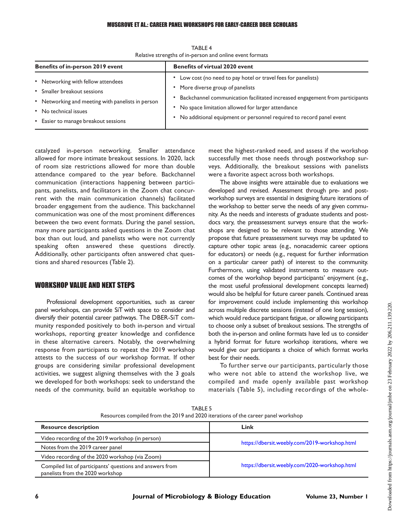<span id="page-7-0"></span>

| Benefits of in-person 2019 event                  | <b>Benefits of virtual 2020 event</b>                                        |  |
|---------------------------------------------------|------------------------------------------------------------------------------|--|
| • Networking with fellow attendees                | • Low cost (no need to pay hotel or travel fees for panelists)               |  |
| • Smaller breakout sessions                       | • More diverse group of panelists                                            |  |
| • Networking and meeting with panelists in person | Backchannel communication facilitated increased engagement from participants |  |
| • No technical issues                             | • No space limitation allowed for larger attendance                          |  |
| • Easier to manage breakout sessions              | • No additional equipment or personnel required to record panel event        |  |

TABLE 4 Relative strengths of in-person and online event formats

catalyzed in-person networking. Smaller attendance allowed for more intimate breakout sessions. In 2020, lack of room size restrictions allowed for more than double attendance compared to the year before. Backchannel communication (interactions happening between participants, panelists, and facilitators in the Zoom chat concurrent with the main communication channels) facilitated broader engagement from the audience. This backchannel communication was one of the most prominent differences between the two event formats. During the panel session, many more participants asked questions in the Zoom chat box than out loud, and panelists who were not currently speaking often answered these questions directly. Additionally, other participants often answered chat questions and shared resources ([Table 2](#page-6-0)).

# WORKSHOP VALUE AND NEXT STEPS

Professional development opportunities, such as career panel workshops, can provide SiT with space to consider and diversify their potential career pathways. The DBER-SiT community responded positively to both in-person and virtual workshops, reporting greater knowledge and confidence in these alternative careers. Notably, the overwhelming response from participants to repeat the 2019 workshop attests to the success of our workshop format. If other groups are considering similar professional development activities, we suggest aligning themselves with the 3 goals we developed for both workshops: seek to understand the needs of the community, build an equitable workshop to

meet the highest-ranked need, and assess if the workshop successfully met those needs through postworkshop surveys. Additionally, the breakout sessions with panelists were a favorite aspect across both workshops.

The above insights were attainable due to evaluations we developed and revised. Assessment through pre- and postworkshop surveys are essential in designing future iterations of the workshop to better serve the needs of any given community. As the needs and interests of graduate students and postdocs vary, the preassessment surveys ensure that the workshops are designed to be relevant to those attending. We propose that future preassessment surveys may be updated to capture other topic areas (e.g., nonacademic career options for educators) or needs (e.g., request for further information on a particular career path) of interest to the community. Furthermore, using validated instruments to measure outcomes of the workshop beyond participants' enjoyment (e.g., the most useful professional development concepts learned) would also be helpful for future career panels. Continued areas for improvement could include implementing this workshop across multiple discrete sessions (instead of one long session), which would reduce participant fatigue, or allowing participants to choose only a subset of breakout sessions. The strengths of both the in-person and online formats have led us to consider a hybrid format for future workshop iterations, where we would give our participants a choice of which format works best for their needs.

To further serve our participants, particularly those who were not able to attend the workshop live, we compiled and made openly available past workshop materials [\(Table 5](#page-7-1)), including recordings of the whole-

<span id="page-7-1"></span>

| <b>Resource description</b>                               | Link                                          |  |  |
|-----------------------------------------------------------|-----------------------------------------------|--|--|
| Video recording of the 2019 workshop (in person)          | https://dbersit.weebly.com/2019-workshop.html |  |  |
| Notes from the 2019 career panel                          |                                               |  |  |
| Video recording of the 2020 workshop (via Zoom)           |                                               |  |  |
| Compiled list of participants' questions and answers from | https://dbersit.weebly.com/2020-workshop.html |  |  |
| panelists from the 2020 workshop                          |                                               |  |  |

TABLE 5 Resources compiled from the 2019 and 2020 iterations of the career panel workshop